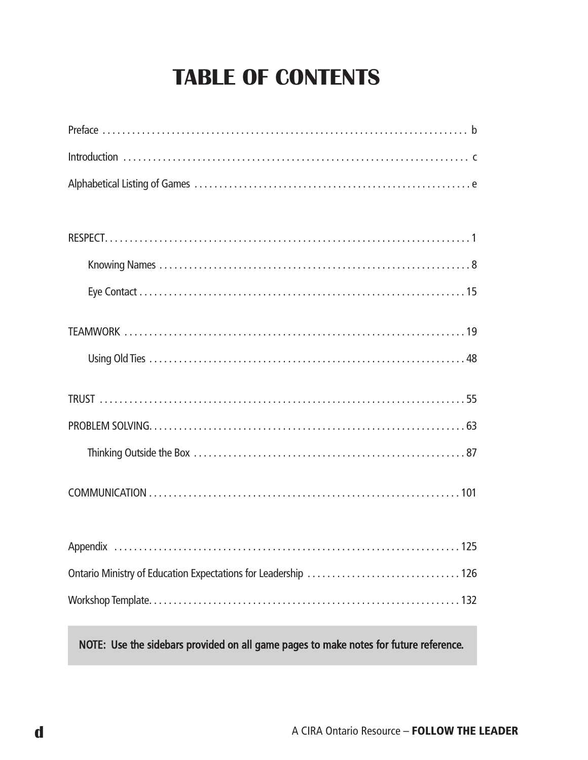# **TABLE OF CONTENTS**

NOTE: Use the sidebars provided on all game pages to make notes for future reference.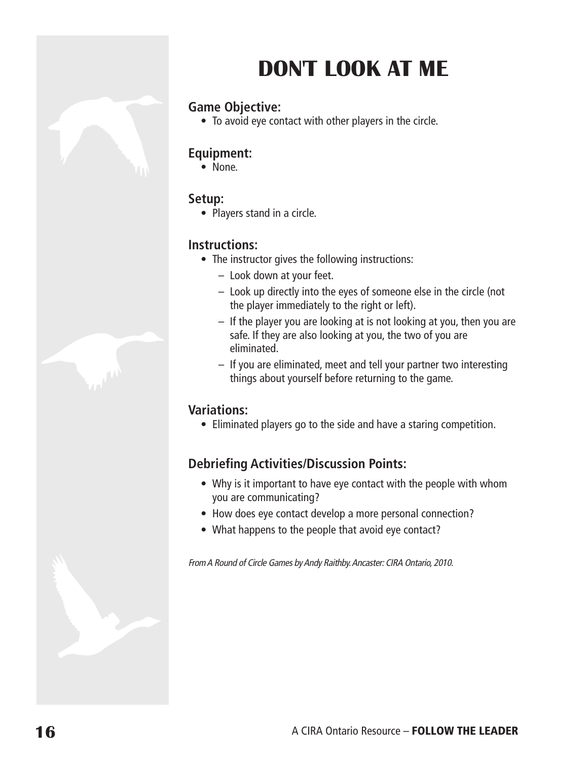# **DON'T LOOk AT ME**

# **Game Objective:**

• To avoid eye contact with other players in the circle.

## **Equipment:**

• None.

## **Setup:**

• Players stand in a circle.

## **Instructions:**

- The instructor gives the following instructions:
	- Look down at your feet.
	- Look up directly into the eyes of someone else in the circle (not the player immediately to the right or left).
	- If the player you are looking at is not looking at you, then you are safe. If they are also looking at you, the two of you are eliminated.
	- If you are eliminated, meet and tell your partner two interesting things about yourself before returning to the game.

# **Variations:**

• Eliminated players go to the side and have a staring competition.

# **Debriefing Activities/Discussion Points:**

- Why is it important to have eye contact with the people with whom you are communicating?
- How does eye contact develop a more personal connection?
- What happens to the people that avoid eye contact?

From A Round of Circle Games by Andy Raithby. Ancaster: CIRA Ontario, 2010.

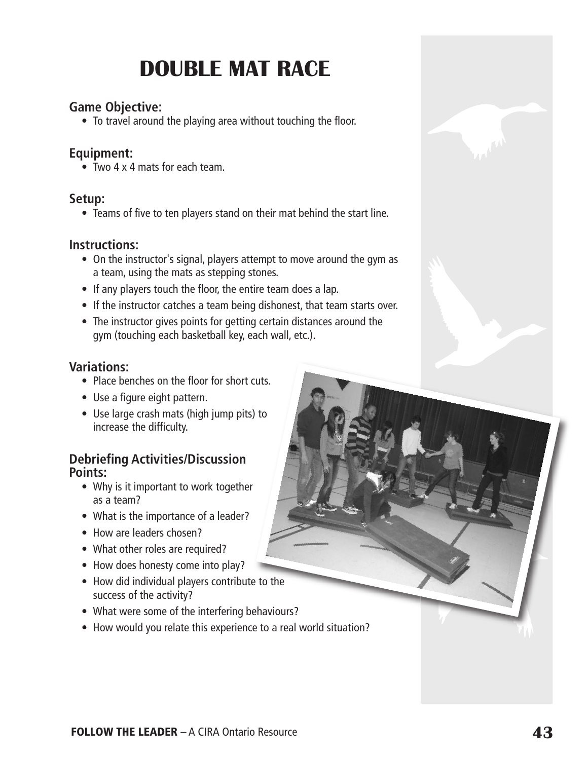# **DOuBLE MAT RACE**

### **Game Objective:**

• To travel around the playing area without touching the floor.

### **Equipment:**

• Two 4 x 4 mats for each team.

### **Setup:**

• Teams of five to ten players stand on their mat behind the start line.

### **Instructions:**

- On the instructor's signal, players attempt to move around the gym as a team, using the mats as stepping stones.
- If any players touch the floor, the entire team does a lap.
- If the instructor catches a team being dishonest, that team starts over.
- The instructor gives points for getting certain distances around the gym (touching each basketball key, each wall, etc.).

### **Variations:**

- Place benches on the floor for short cuts.
- Use a figure eight pattern.
- Use large crash mats (high jump pits) to increase the difficulty.

### **Debriefing Activities/Discussion Points:**

- Why is it important to work together as a team?
- What is the importance of a leader?
- How are leaders chosen?
- What other roles are required?
- How does honesty come into play?
- How did individual players contribute to the success of the activity?
- What were some of the interfering behaviours?
- How would you relate this experience to a real world situation?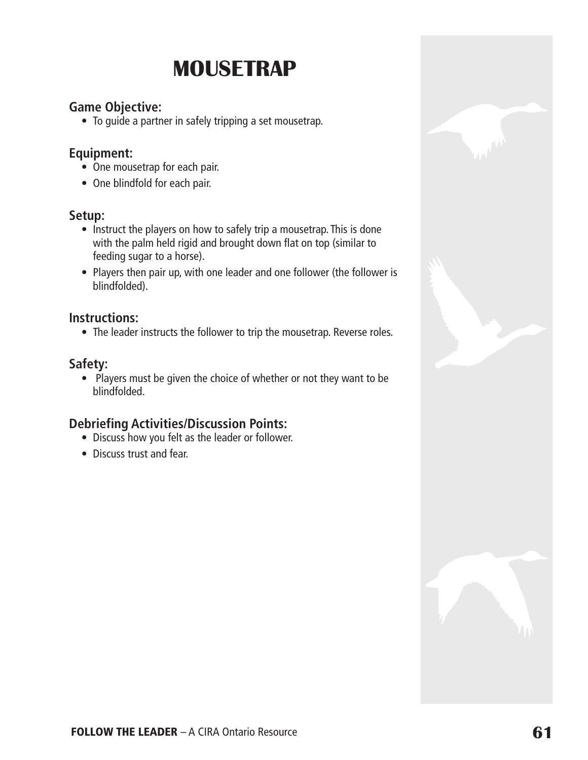# **MOuSETRAp**

## **Game Objective:**

• To guide a partner in safely tripping a set mousetrap.

### **Equipment:**

- One mousetrap for each pair.
- One blindfold for each pair.

### **Setup:**

- Instruct the players on how to safely trip a mousetrap. This is done with the palm held rigid and brought down flat on top (similar to feeding sugar to a horse).
- Players then pair up, with one leader and one follower (the follower is blindfolded).

### **Instructions:**

• The leader instructs the follower to trip the mousetrap. Reverse roles.

### **Safety:**

• Players must be given the choice of whether or not they want to be blindfolded.

# **Debriefing Activities/Discussion Points:**

- Discuss how you felt as the leader or follower.
- Discuss trust and fear.

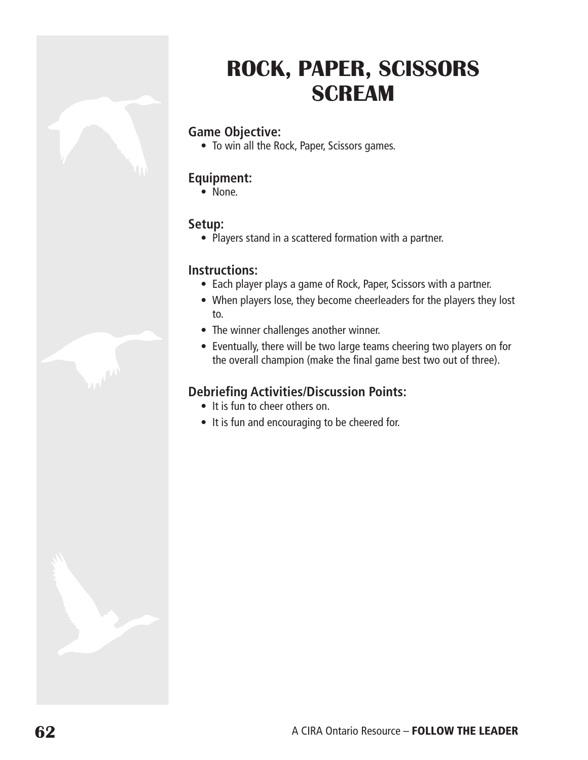# **ROCk, pApER, SCiSSORS SCREAM**

## **Game Objective:**

• To win all the Rock, Paper, Scissors games.

### **Equipment:**

 $\bullet$  None.

#### **Setup:**

• Players stand in a scattered formation with a partner.

#### **Instructions:**

- Each player plays a game of Rock, Paper, Scissors with a partner.
- When players lose, they become cheerleaders for the players they lost to.
- The winner challenges another winner.
- Eventually, there will be two large teams cheering two players on for the overall champion (make the final game best two out of three).

# **Debriefing Activities/Discussion Points:**

- It is fun to cheer others on.
- It is fun and encouraging to be cheered for.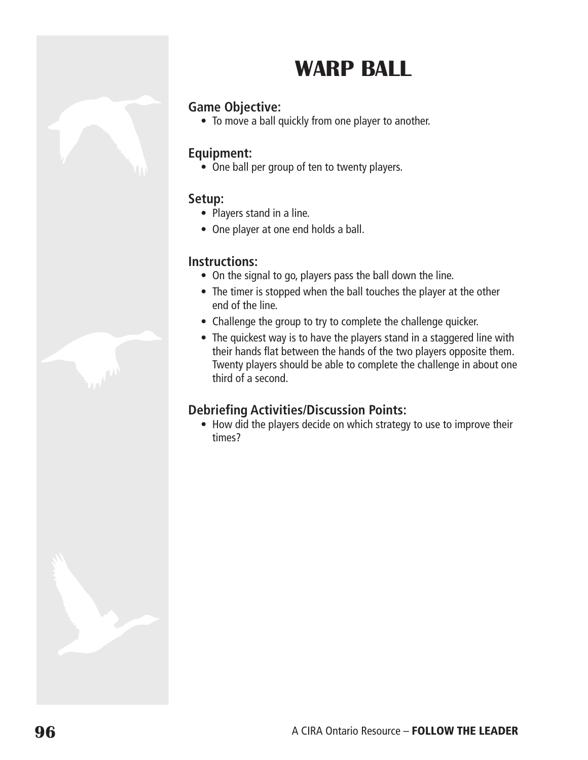# **WARp BALL**

# **Game Objective:**

• To move a ball quickly from one player to another.

### **Equipment:**

• One ball per group of ten to twenty players.

### **Setup:**

- Players stand in a line.
- One player at one end holds a ball.

### **Instructions:**

- On the signal to go, players pass the ball down the line.
- The timer is stopped when the ball touches the player at the other end of the line.
- Challenge the group to try to complete the challenge quicker.
- The quickest way is to have the players stand in a staggered line with their hands flat between the hands of the two players opposite them. Twenty players should be able to complete the challenge in about one third of a second.

### **Debriefing Activities/Discussion Points:**

• How did the players decide on which strategy to use to improve their times?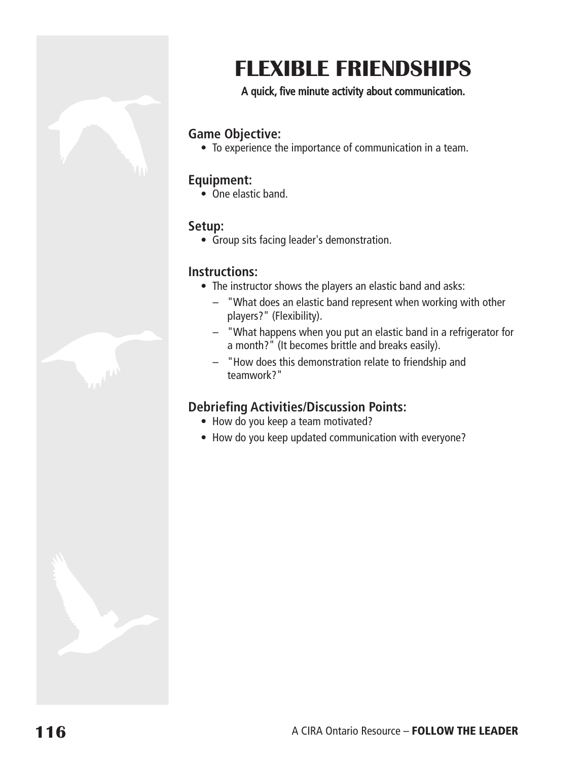

### A quick, five minute activity about communication.

### **Game Objective:**

• To experience the importance of communication in a team.

#### **Equipment:**

• One elastic band.

#### **Setup:**

• Group sits facing leader's demonstration.

#### **Instructions:**

- The instructor shows the players an elastic band and asks:
	- "What does an elastic band represent when working with other players?" (Flexibility).
	- "What happens when you put an elastic band in a refrigerator for a month?" (It becomes brittle and breaks easily).
	- "How does this demonstration relate to friendship and teamwork?"

# **Debriefing Activities/Discussion Points:**

- How do you keep a team motivated?
- How do you keep updated communication with everyone?

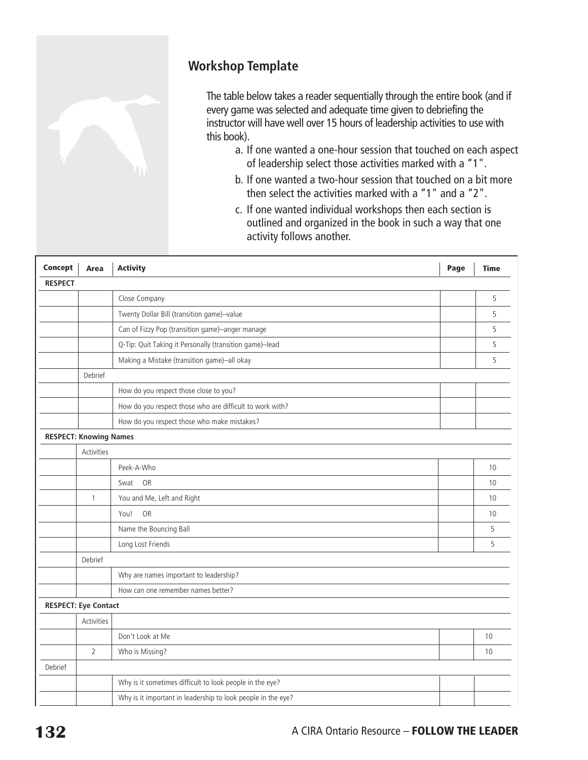

# **Workshop Template**

The table below takes a reader sequentially through the entire book (and if every game was selected and adequate time given to debriefing the instructor will have well over 15 hours of leadership activities to use with this book).

- a. If one wanted a one-hour session that touched on each aspect of leadership select those activities marked with a "1".
- b. If one wanted a two-hour session that touched on a bit more then select the activities marked with a "1" and a "2".
- c. If one wanted individual workshops then each section is outlined and organized in the book in such a way that one activity follows another.

| <b>Concept</b> | Area                          | <b>Activity</b>                                              | Page | <b>Time</b> |
|----------------|-------------------------------|--------------------------------------------------------------|------|-------------|
| <b>RESPECT</b> |                               |                                                              |      |             |
|                |                               | Close Company                                                |      | 5           |
|                |                               | Twenty Dollar Bill (transition game)-value                   |      | 5           |
|                |                               | Can of Fizzy Pop (transition game)-anger manage              |      | 5           |
|                |                               | Q-Tip: Quit Taking it Personally (transition game)-lead      |      | 5           |
|                |                               | Making a Mistake (transition game)-all okay                  |      | 5           |
|                | Debrief                       |                                                              |      |             |
|                |                               | How do you respect those close to you?                       |      |             |
|                |                               | How do you respect those who are difficult to work with?     |      |             |
|                |                               | How do you respect those who make mistakes?                  |      |             |
|                | <b>RESPECT: Knowing Names</b> |                                                              |      |             |
|                | Activities                    |                                                              |      |             |
|                |                               | Peek-A-Who                                                   |      | 10          |
|                |                               | <b>OR</b><br>Swat                                            |      | 10          |
|                | $\mathbf{1}$                  | You and Me, Left and Right                                   |      | 10          |
|                |                               | You!<br>OR                                                   |      | 10          |
|                |                               | Name the Bouncing Ball                                       |      | 5           |
|                |                               | Long Lost Friends                                            |      | 5           |
|                | Debrief                       |                                                              |      |             |
|                |                               | Why are names important to leadership?                       |      |             |
|                |                               | How can one remember names better?                           |      |             |
|                | <b>RESPECT: Eye Contact</b>   |                                                              |      |             |
|                | Activities                    |                                                              |      |             |
|                |                               | Don't Look at Me                                             |      | 10          |
|                | $\overline{2}$                | Who is Missing?                                              |      | 10          |
| Debrief        |                               |                                                              |      |             |
|                |                               | Why is it sometimes difficult to look people in the eye?     |      |             |
|                |                               | Why is it important in leadership to look people in the eye? |      |             |
|                |                               |                                                              |      |             |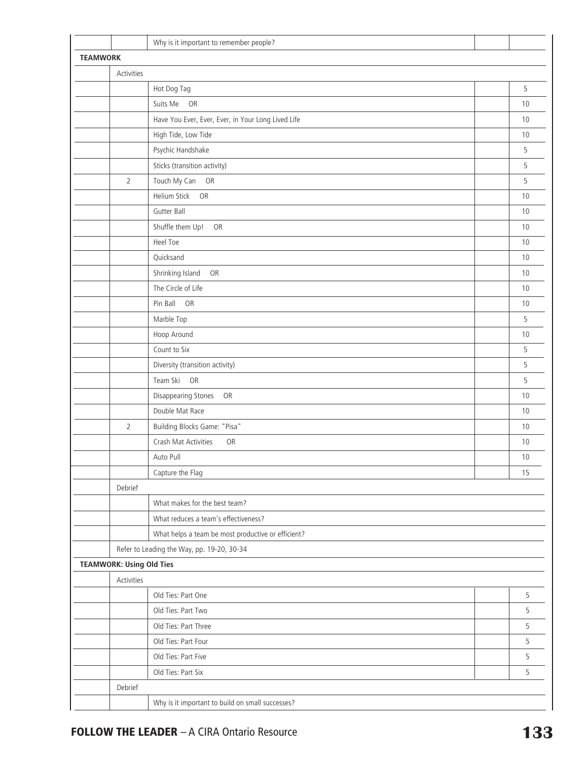|                 |                                 | Why is it important to remember people?            |    |
|-----------------|---------------------------------|----------------------------------------------------|----|
| <b>TEAMWORK</b> |                                 |                                                    |    |
|                 | Activities                      |                                                    |    |
|                 |                                 | Hot Dog Tag                                        | 5  |
|                 |                                 | Suits Me OR                                        | 10 |
|                 |                                 | Have You Ever, Ever, Ever, in Your Long Lived Life | 10 |
|                 |                                 | High Tide, Low Tide                                | 10 |
|                 |                                 | Psychic Handshake                                  | 5  |
|                 |                                 | Sticks (transition activity)                       | 5  |
|                 | $\overline{2}$                  | Touch My Can OR                                    | 5  |
|                 |                                 | Helium Stick<br>OR                                 | 10 |
|                 |                                 | Gutter Ball                                        | 10 |
|                 |                                 | Shuffle them Up! OR                                | 10 |
|                 |                                 | Heel Toe                                           | 10 |
|                 |                                 | Quicksand                                          | 10 |
|                 |                                 | Shrinking Island<br>OR                             | 10 |
|                 |                                 | The Circle of Life                                 | 10 |
|                 |                                 | Pin Ball OR                                        | 10 |
|                 |                                 | Marble Top                                         | 5  |
|                 |                                 | Hoop Around                                        | 10 |
|                 |                                 | Count to Six                                       | 5  |
|                 |                                 | Diversity (transition activity)                    | 5  |
|                 |                                 | Team Ski OR                                        | 5  |
|                 |                                 | <b>Disappearing Stones</b><br>OR                   | 10 |
|                 |                                 | Double Mat Race                                    | 10 |
|                 | $\overline{2}$                  | Building Blocks Game: "Pisa"                       | 10 |
|                 |                                 | Crash Mat Activities<br>OR                         | 10 |
|                 |                                 | Auto Pull                                          | 10 |
|                 |                                 | Capture the Flag                                   | 15 |
|                 | Debrief                         |                                                    |    |
|                 |                                 | What makes for the best team?                      |    |
|                 |                                 | What reduces a team's effectiveness?               |    |
|                 |                                 | What helps a team be most productive or efficient? |    |
|                 |                                 | Refer to Leading the Way, pp. 19-20, 30-34         |    |
|                 | <b>TEAMWORK: Using Old Ties</b> |                                                    |    |
|                 | Activities                      |                                                    |    |
|                 |                                 | Old Ties: Part One                                 | 5  |
|                 |                                 | Old Ties: Part Two                                 | 5  |
|                 |                                 | Old Ties: Part Three                               | 5  |
|                 |                                 | Old Ties: Part Four                                | 5  |
|                 |                                 | Old Ties: Part Five                                | 5  |
|                 |                                 | Old Ties: Part Six                                 | 5  |
|                 | Debrief                         |                                                    |    |
|                 |                                 | Why is it important to build on small successes?   |    |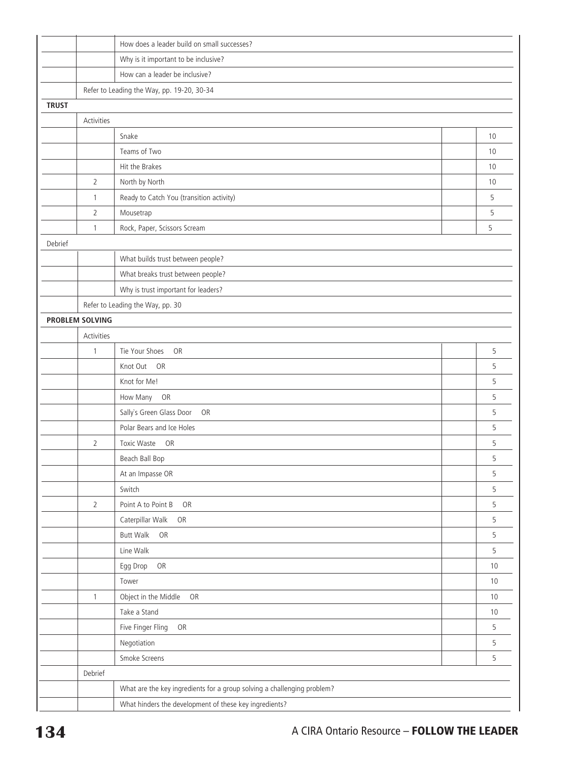|              |                        | How does a leader build on small successes?                             |    |
|--------------|------------------------|-------------------------------------------------------------------------|----|
|              |                        | Why is it important to be inclusive?                                    |    |
|              |                        | How can a leader be inclusive?                                          |    |
|              |                        | Refer to Leading the Way, pp. 19-20, 30-34                              |    |
| <b>TRUST</b> |                        |                                                                         |    |
|              | Activities             |                                                                         |    |
|              |                        | Snake                                                                   | 10 |
|              |                        | Teams of Two                                                            | 10 |
|              |                        | Hit the Brakes                                                          | 10 |
|              | $\overline{2}$         | North by North                                                          | 10 |
|              | $\mathbf{1}$           | Ready to Catch You (transition activity)                                | 5  |
|              | $\overline{2}$         | Mousetrap                                                               | 5  |
|              | $\mathbf{1}$           | Rock, Paper, Scissors Scream                                            | 5  |
| Debrief      |                        |                                                                         |    |
|              |                        | What builds trust between people?                                       |    |
|              |                        | What breaks trust between people?                                       |    |
|              |                        | Why is trust important for leaders?                                     |    |
|              |                        | Refer to Leading the Way, pp. 30                                        |    |
|              | <b>PROBLEM SOLVING</b> |                                                                         |    |
|              | Activities             |                                                                         |    |
|              | $\mathbf{1}$           | OR<br>Tie Your Shoes                                                    | 5  |
|              |                        | Knot Out<br>OR                                                          | 5  |
|              |                        | Knot for Me!                                                            | 5  |
|              |                        | OR<br>How Many                                                          | 5  |
|              |                        | Sally's Green Glass Door<br>OR                                          | 5  |
|              |                        | Polar Bears and Ice Holes                                               | 5  |
|              | $\overline{2}$         | <b>Toxic Waste</b><br>OR                                                | 5  |
|              |                        | Beach Ball Bop                                                          | 5  |
|              |                        | At an Impasse OR                                                        | 5  |
|              |                        | Switch                                                                  | 5  |
|              | $\overline{2}$         | Point A to Point B<br>OR                                                | 5  |
|              |                        | Caterpillar Walk<br>OR                                                  | 5  |
|              |                        | <b>Butt Walk</b><br>OR                                                  | 5  |
|              |                        | Line Walk                                                               | 5  |
|              |                        | Egg Drop<br>OR                                                          | 10 |
|              |                        | Tower                                                                   | 10 |
|              | $\overline{1}$         | Object in the Middle<br>OR                                              | 10 |
|              |                        | Take a Stand                                                            | 10 |
|              |                        | Five Finger Fling<br>OR                                                 | 5  |
|              |                        | Negotiation                                                             | 5  |
|              |                        | Smoke Screens                                                           | 5  |
|              | Debrief                |                                                                         |    |
|              |                        | What are the key ingredients for a group solving a challenging problem? |    |
|              |                        | What hinders the development of these key ingredients?                  |    |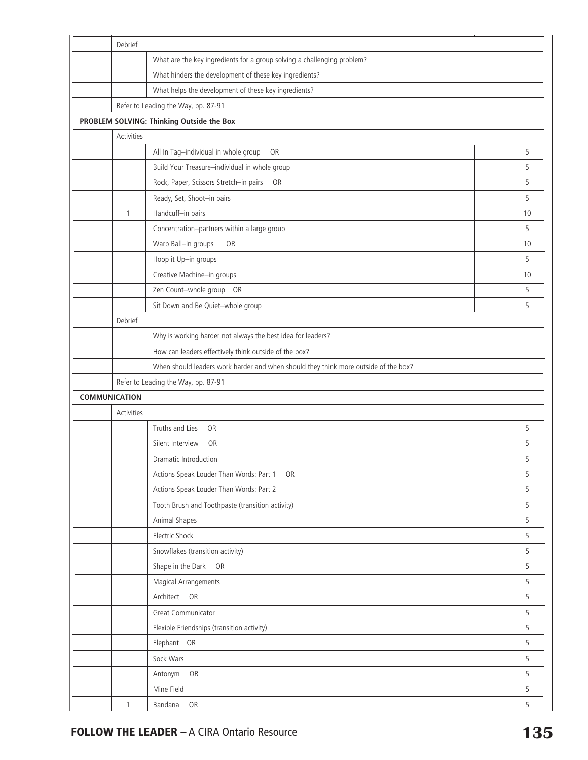| Debrief              |                                                                                     |    |  |  |
|----------------------|-------------------------------------------------------------------------------------|----|--|--|
|                      | What are the key ingredients for a group solving a challenging problem?             |    |  |  |
|                      | What hinders the development of these key ingredients?                              |    |  |  |
|                      | What helps the development of these key ingredients?                                |    |  |  |
|                      | Refer to Leading the Way, pp. 87-91                                                 |    |  |  |
|                      | PROBLEM SOLVING: Thinking Outside the Box                                           |    |  |  |
| Activities           |                                                                                     |    |  |  |
|                      | All In Tag-individual in whole group<br><b>OR</b>                                   | 5  |  |  |
|                      | Build Your Treasure-individual in whole group                                       | 5  |  |  |
|                      | Rock, Paper, Scissors Stretch-in pairs<br><b>OR</b>                                 | 5  |  |  |
|                      | Ready, Set, Shoot-in pairs                                                          | 5  |  |  |
| $\mathbf{1}$         | Handcuff-in pairs                                                                   | 10 |  |  |
|                      | Concentration-partners within a large group                                         | 5  |  |  |
|                      | Warp Ball-in groups<br>OR                                                           | 10 |  |  |
|                      | Hoop it Up-in groups                                                                | 5  |  |  |
|                      | Creative Machine-in groups                                                          | 10 |  |  |
|                      | Zen Count-whole group OR                                                            | 5  |  |  |
|                      | Sit Down and Be Quiet-whole group                                                   | 5  |  |  |
| Debrief              |                                                                                     |    |  |  |
|                      | Why is working harder not always the best idea for leaders?                         |    |  |  |
|                      | How can leaders effectively think outside of the box?                               |    |  |  |
|                      | When should leaders work harder and when should they think more outside of the box? |    |  |  |
|                      | Refer to Leading the Way, pp. 87-91                                                 |    |  |  |
| <b>COMMUNICATION</b> |                                                                                     |    |  |  |
| Activities           |                                                                                     |    |  |  |
|                      | Truths and Lies<br><b>OR</b>                                                        | 5  |  |  |
|                      | Silent Interview<br><b>OR</b>                                                       | 5  |  |  |
|                      | <b>Dramatic Introduction</b>                                                        | 5  |  |  |
|                      | Actions Speak Louder Than Words: Part 1<br><b>OR</b>                                | 5  |  |  |
|                      | Actions Speak Louder Than Words: Part 2                                             | 5  |  |  |
|                      | Tooth Brush and Toothpaste (transition activity)                                    | 5  |  |  |
|                      | Animal Shapes                                                                       | 5  |  |  |
|                      |                                                                                     |    |  |  |
|                      | Electric Shock                                                                      | 5  |  |  |
|                      | Snowflakes (transition activity)                                                    | 5  |  |  |
|                      | Shape in the Dark<br><b>OR</b>                                                      | 5  |  |  |
|                      | Magical Arrangements                                                                | 5  |  |  |
|                      | Architect OR                                                                        | 5  |  |  |
|                      | Great Communicator                                                                  | 5  |  |  |
|                      | Flexible Friendships (transition activity)                                          | 5  |  |  |
|                      | Elephant OR                                                                         | 5  |  |  |
|                      | Sock Wars                                                                           | 5  |  |  |
|                      | OR<br>Antonym                                                                       | 5  |  |  |
|                      | Mine Field                                                                          | 5  |  |  |